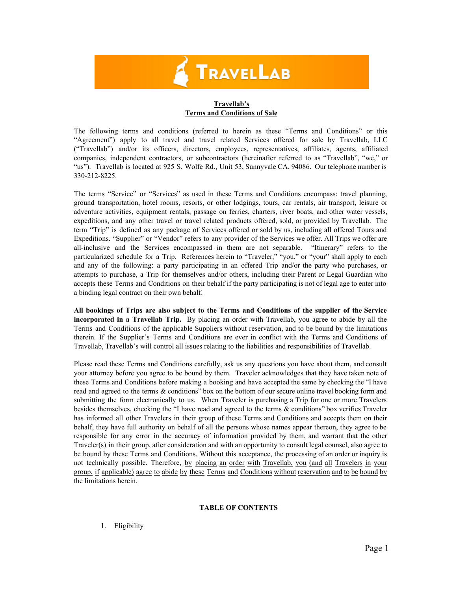# **TRAVELLAB**

# **Travellab's Terms and Conditions of Sale**

The following terms and conditions (referred to herein as these "Terms and Conditions" or this "Agreement") apply to all travel and travel related Services offered for sale by Travellab, LLC ("Travellab") and/or its officers, directors, employees, representatives, affiliates, agents, affiliated companies, independent contractors, or subcontractors (hereinafter referred to as "Travellab", "we," or "us"). Travellab is located at 925 S. Wolfe Rd., Unit 53, Sunnyvale CA, 94086. Our telephone number is 330-212-8225.

The terms "Service" or "Services" as used in these Terms and Conditions encompass: travel planning, ground transportation, hotel rooms, resorts, or other lodgings, tours, car rentals, air transport, leisure or adventure activities, equipment rentals, passage on ferries, charters, river boats, and other water vessels, expeditions, and any other travel or travel related products offered, sold, or provided by Travellab. The term "Trip" is defined as any package of Services offered or sold by us, including all offered Tours and Expeditions. "Supplier" or "Vendor" refers to any provider of the Services we offer. All Trips we offer are allinclusive and the Services encompassed in them are not separable. "Itinerary" refers to the particularized schedule for a Trip. References herein to "Traveler," "you," or "your" shall apply to each and any of the following: a party participating in an offered Trip and/or the party who purchases, or attempts to purchase, a Trip for themselves and/or others, including their Parent or Legal Guardian who accepts these Terms and Conditions on their behalf if the party participating is not of legal age to enter into a binding legal contract on their own behalf.

**All bookings of Trips are also subject to the Terms and Conditions of the supplier of the Service incorporated in a Travellab Trip.** By placing an order with Travellab, you agree to abide by all the Terms and Conditions of the applicable Suppliers without reservation, and to be bound by the limitations therein. If the Supplier's Terms and Conditions are ever in conflict with the Terms and Conditions of Travellab, Travellab's will control all issues relating to the liabilities and responsibilities of Travellab.

Please read these Terms and Conditions carefully, ask us any questions you have about them, and consult your attorney before you agree to be bound by them. Traveler acknowledges that they have taken note of these Terms and Conditions before making a booking and have accepted the same by checking the "I have read and agreed to the terms & conditions" box on the bottom of our secure online travel booking form and submitting the form electronically to us. When Traveler is purchasing a Trip for one or more Travelers besides themselves, checking the "I have read and agreed to the terms & conditions" box verifies Traveler has informed all other Travelers in their group of these Terms and Conditions and accepts them on their behalf, they have full authority on behalf of all the persons whose names appear thereon, they agree to be responsible for any error in the accuracy of information provided by them, and warrant that the other Traveler(s) in their group, after consideration and with an opportunity to consult legal counsel, also agree to be bound by these Terms and Conditions. Without this acceptance, the processing of an order or inquiry is not technically possible. Therefore, by placing an order with Travellab, you (and all Travelers in your group, if applicable) agree to abide by these Terms and Conditions without reservation and to be bound by the limitations herein.

# **TABLE OF CONTENTS**

1. Eligibility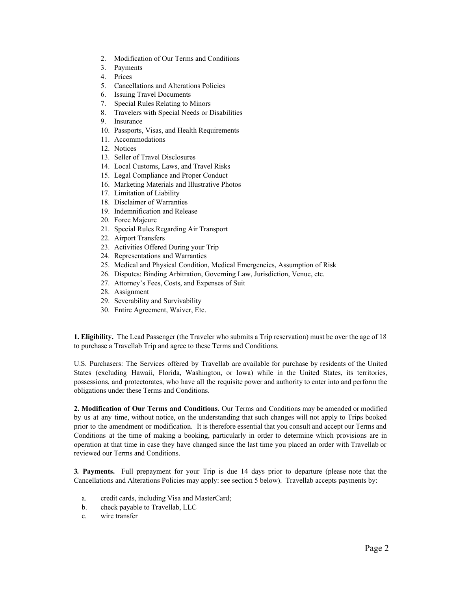- 2. Modification of Our Terms and Conditions
- 3. Payments
- 4. Prices
- 5. Cancellations and Alterations Policies
- 6. Issuing Travel Documents
- 7. Special Rules Relating to Minors
- 8. Travelers with Special Needs or Disabilities
- 9. Insurance
- 10. Passports, Visas, and Health Requirements
- 11. Accommodations
- 12. Notices
- 13. Seller of Travel Disclosures
- 14. Local Customs, Laws, and Travel Risks
- 15. Legal Compliance and Proper Conduct
- 16. Marketing Materials and Illustrative Photos
- 17. Limitation of Liability
- 18. Disclaimer of Warranties
- 19. Indemnification and Release
- 20. Force Majeure
- 21. Special Rules Regarding Air Transport
- 22. Airport Transfers
- 23. Activities Offered During your Trip
- 24. Representations and Warranties
- 25. Medical and Physical Condition, Medical Emergencies, Assumption of Risk
- 26. Disputes: Binding Arbitration, Governing Law, Jurisdiction, Venue, etc.
- 27. Attorney's Fees, Costs, and Expenses of Suit
- 28. Assignment
- 29. Severability and Survivability
- 30. Entire Agreement, Waiver, Etc.

**1. Eligibility.** The Lead Passenger (the Traveler who submits a Trip reservation) must be over the age of 18 to purchase a Travellab Trip and agree to these Terms and Conditions.

U.S. Purchasers: The Services offered by Travellab are available for purchase by residents of the United States (excluding Hawaii, Florida, Washington, or Iowa) while in the United States, its territories, possessions, and protectorates, who have all the requisite power and authority to enter into and perform the obligations under these Terms and Conditions.

**2. Modification of Our Terms and Conditions.** Our Terms and Conditions may be amended or modified by us at any time, without notice, on the understanding that such changes will not apply to Trips booked prior to the amendment or modification. It is therefore essential that you consult and accept our Terms and Conditions at the time of making a booking, particularly in order to determine which provisions are in operation at that time in case they have changed since the last time you placed an order with Travellab or reviewed our Terms and Conditions.

**3***.* **Payments.** Full prepayment for your Trip is due 14 days prior to departure (please note that the Cancellations and Alterations Policies may apply: see section 5 below). Travellab accepts payments by:

- a. credit cards, including Visa and MasterCard;
- b. check payable to Travellab, LLC
- c. wire transfer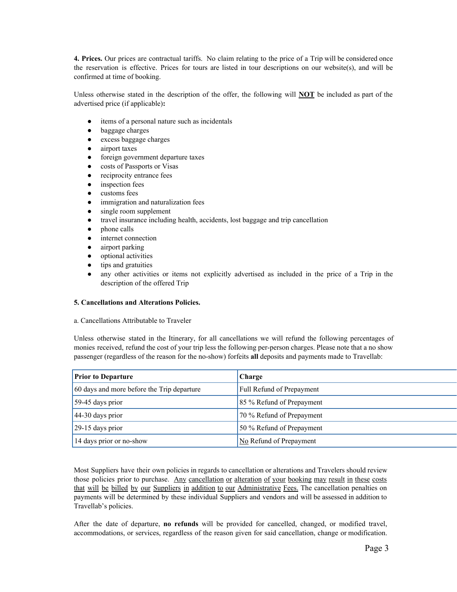**4. Prices.** Our prices are contractual tariffs. No claim relating to the price of a Trip will be considered once the reservation is effective. Prices for tours are listed in tour descriptions on our website(s), and will be confirmed at time of booking.

Unless otherwise stated in the description of the offer, the following will **NOT** be included as part of the advertised price (if applicable)**:**

- items of a personal nature such as incidentals
- baggage charges
- excess baggage charges
- airport taxes
- foreign government departure taxes
- costs of Passports or Visas
- reciprocity entrance fees
- inspection fees
- customs fees
- immigration and naturalization fees
- single room supplement
- travel insurance including health, accidents, lost baggage and trip cancellation
- phone calls
- internet connection
- airport parking
- optional activities
- tips and gratuities
- any other activities or items not explicitly advertised as included in the price of a Trip in the description of the offered Trip

# **5. Cancellations and Alterations Policies.**

a. Cancellations Attributable to Traveler

Unless otherwise stated in the Itinerary, for all cancellations we will refund the following percentages of monies received, refund the cost of your trip less the following per-person charges. Please note that a no show passenger (regardless of the reason for the noshow) forfeits **all**deposits and payments made to Travellab:

| <b>Prior to Departure</b>                  | Charge                    |
|--------------------------------------------|---------------------------|
| 60 days and more before the Trip departure | Full Refund of Prepayment |
| 59-45 days prior                           | 85 % Refund of Prepayment |
| $44-30$ days prior                         | 70 % Refund of Prepayment |
| 29-15 days prior                           | 50 % Refund of Prepayment |
| 14 days prior or no-show                   | No Refund of Prepayment   |

Most Suppliers have their own policies in regards to cancellation or alterations and Travelers should review those policies prior to purchase. Any cancellation or alteration of your booking may result in these costs that will be billed by our Suppliers in addition to our Administrative Fees. The cancellation penalties on payments will be determined by these individual Suppliers and vendors and will be assessed in addition to Travellab's policies.

After the date of departure, **no refunds** will be provided for cancelled, changed, or modified travel, accommodations, or services, regardless of the reason given for said cancellation, change or modification.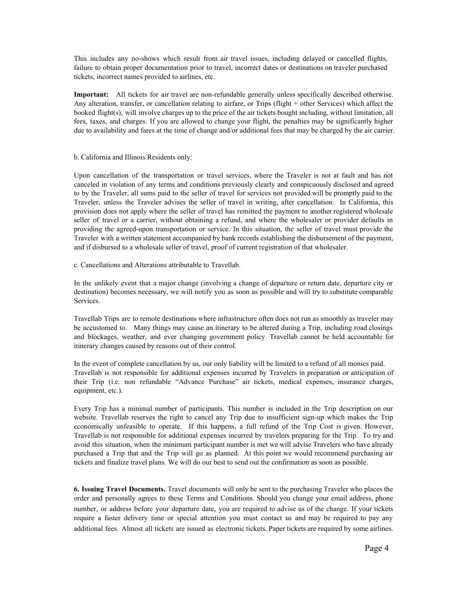This includes any noshows which result from air travel issues, including delayed or cancelled flights, failure to obtain proper documentation prior to travel, incorrect dates or destinations on traveler purchased tickets, incorrect names provided to airlines, etc.

**Important:** All tickets for air travel are non-refundable generally unless specifically described otherwise. Any alteration, transfer, or cancellation relating to airfare, or Trips (flight + other Services) which affect the booked flight(s), will involve charges up to the price of the air tickets bought including, without limitation, all fees, taxes, and charges. If you are allowed to change your flight, the penalties may be significantly higher due to availability and fares at the time of change and/or additional fees that may be charged by the air carrier.

#### b. California and Illinois Residents only:

Upon cancellation of the transportation or travel services, where the Traveler is not at fault and has not canceled in violation of any terms and conditions previously clearly and conspicuously disclosed and agreed to by the Traveler, all sums paid to the seller of travel for services not provided will be promptly paid to the Traveler, unless the Traveler advises the seller of travel in writing, after cancellation. In California, this provision does not apply where the seller of travel has remitted the payment to another registered wholesale seller of travel or a carrier, without obtaining a refund, and where the wholesaler or provider defaults in providing the agreed-upon transportation or service. In this situation, the seller of travel must provide the Traveler with a written statement accompanied by bank records establishing the disbursement of the payment, and if disbursed to a wholesale seller of travel, proof of current registration of that wholesaler.

c. Cancellations and Alterations attributable to Travellab.

In the unlikely event that a major change (involving a change of departure or return date, departure city or destination) becomes necessary, we will notify you as soon as possible and will try to substitute comparable Services.

Travellab Trips are to remote destinations where infrastructure often does not run as smoothly as traveler may be accustomed to. Many things may cause an itinerary to be altered during a Trip, including road closings and blockages, weather, and ever changing government policy. Travellab cannot be held accountable for itinerary changes caused by reasons out of their control.

In the event of complete cancellation by us, our only liability will be limited to a refund of all monies paid. Travellab is not responsible for additional expenses incurred by Travelers in preparation or anticipation of their Trip (i.e. non refundable "Advance Purchase" air tickets, medical expenses, insurance charges, equipment, etc.).

Every Trip has a minimal number of participants. This number is included in the Trip description on our website. Travellab reserves the right to cancel any Trip due to insufficient sign-up which makes the Trip economically unfeasible to operate. If this happens, a full refund of the Trip Cost is given. However, Travellab is not responsible for additional expenses incurred by travelers preparing for the Trip. To try and avoid this situation, when the minimum participant number is met we will advise Travelers who have already purchased a Trip that and the Trip will go as planned. At this point we would recommend purchasing air tickets and finalize travel plans. We will do our best to send out the confirmation as soon as possible.

**6. Issuing Travel Documents.** Travel documents will only be sent to the purchasing Traveler who places the order and personally agrees to these Terms and Conditions. Should you change your email address, phone number, or address before your departure date, you are required to advise us of the change. If your tickets require a faster delivery time or special attention you must contact us and may be required to pay any additional fees. Almost all tickets are issued as electronic tickets. Paper tickets are required by some airlines.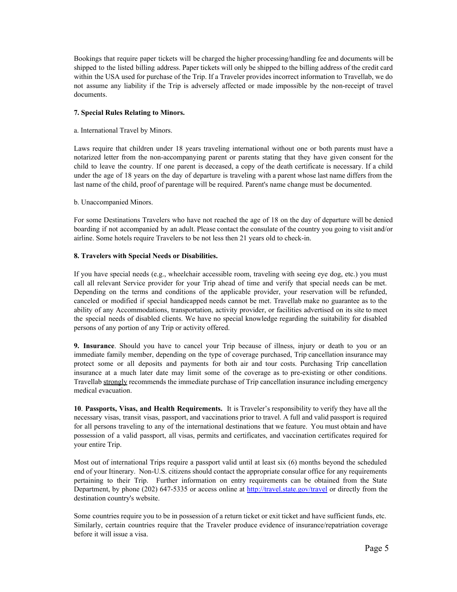Bookings that require paper tickets will be charged the higher processing/handling fee and documents will be shipped to the listed billing address. Paper tickets will only be shipped to the billing address of the credit card within the USA used for purchase of the Trip. If a Traveler provides incorrect information to Travellab, we do not assume any liability if the Trip is adversely affected or made impossible by the nonreceipt of travel documents.

# **7. Special Rules Relating to Minors.**

## a. International Travel by Minors.

Laws require that children under 18 years traveling international without one or both parents must have a notarized letter from the non-accompanying parent or parents stating that they have given consent for the child to leave the country. If one parent is deceased, a copy of the death certificate is necessary. If a child under the age of 18 years on the day of departure is traveling with a parent whose last name differs from the last name of the child, proof of parentage will be required. Parent's name change must be documented.

## b. Unaccompanied Minors.

For some Destinations Travelers who have not reached the age of 18 on the day of departure will be denied boarding if not accompanied by an adult. Please contact the consulate of the country you going to visit and/or airline. Some hotels require Travelers to be not less then 21 years old to check-in.

## **8. Travelers with Special Needs or Disabilities.**

If you have special needs (e.g., wheelchair accessible room, traveling with seeing eye dog, etc.) you must call all relevant Service provider for your Trip ahead of time and verify that special needs can be met. Depending on the terms and conditions of the applicable provider, your reservation will be refunded, canceled or modified if special handicapped needs cannot be met. Travellab make no guarantee as to the ability of any Accommodations, transportation, activity provider, or facilities advertised on its site to meet the special needs of disabled clients. We have no special knowledge regarding the suitability for disabled persons of any portion of any Trip or activity offered.

**9. Insurance**. Should you have to cancel your Trip because of illness, injury or death to you or an immediate family member, depending on the type of coverage purchased, Trip cancellation insurance may protect some or all deposits and payments for both air and tour costs. Purchasing Trip cancellation insurance at a much later date may limit some of the coverage as to pre-existing or other conditions. Travellab strongly recommends the immediate purchase of Trip cancellation insurance including emergency medical evacuation.

**10**. **Passports, Visas, and Health Requirements.** It is Traveler's responsibility to verify they have all the necessary visas, transit visas, passport, and vaccinations prior to travel. A full and valid passport is required for all persons traveling to any of the international destinations that we feature. You must obtain and have possession of a valid passport, all visas, permits and certificates, and vaccination certificates required for your entire Trip.

Most out of international Trips require a passport valid until at least six (6) months beyond the scheduled end of your Itinerary. Non-U.S. citizens should contact the appropriate consular office for any requirements pertaining to their Trip. Further information on entry requirements can be obtained from the State Department, by phone (202) 647-5335 or access online at [http://travel.state.gov/travel](http://travel.state.gov/travel/) or directly from the destination country's website.

Some countries require you to be in possession of a return ticket or exit ticket and have sufficient funds, etc. Similarly, certain countries require that the Traveler produce evidence of insurance/repatriation coverage before it will issue a visa.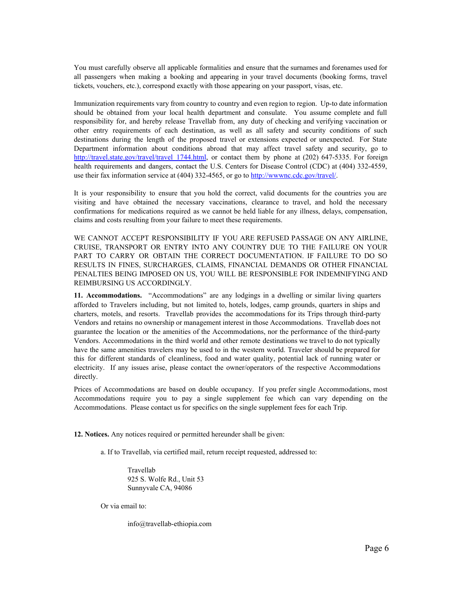You must carefully observe all applicable formalities and ensure that the surnames and forenames used for all passengers when making a booking and appearing in your travel documents (booking forms, travel tickets, vouchers, etc.), correspond exactly with those appearing on your passport, visas, etc.

Immunization requirements vary from country to country and even region to region. Up-to date information should be obtained from your local health department and consulate. You assume complete and full responsibility for, and hereby release Travellab from, any duty of checking and verifying vaccination or other entry requirements of each destination, as well as all safety and security conditions of such destinations during the length of the proposed travel or extensions expected or unexpected. For State Department information about conditions abroad that may affect travel safety and security, go to http://travel.state.gov/travel/travel 1744.html, or contact them by phone at (202) 647-5335. For foreign health requirements and dangers, contact the U.S. Centers for Disease Control (CDC) at (404) 332-4559, use their fax information service at (404) 3324565, or go to [http://wwwnc.cdc.gov/travel/.](http://wwwnc.cdc.gov/travel/)

It is your responsibility to ensure that you hold the correct, valid documents for the countries you are visiting and have obtained the necessary vaccinations, clearance to travel, and hold the necessary confirmations for medications required as we cannot be held liable for any illness, delays, compensation, claims and costs resulting from your failure to meet these requirements.

WE CANNOT ACCEPT RESPONSIBILITY IF YOU ARE REFUSED PASSAGE ON ANY AIRLINE, CRUISE, TRANSPORT OR ENTRY INTO ANY COUNTRY DUE TO THE FAILURE ON YOUR PART TO CARRY OR OBTAIN THE CORRECT DOCUMENTATION. IF FAILURE TO DO SO RESULTS IN FINES, SURCHARGES, CLAIMS, FINANCIAL DEMANDS OR OTHER FINANCIAL PENALTIES BEING IMPOSED ON US, YOU WILL BE RESPONSIBLE FOR INDEMNIFYING AND REIMBURSING US ACCORDINGLY.

**11. Accommodations.** "Accommodations" are any lodgings in a dwelling or similar living quarters afforded to Travelers including, but not limited to, hotels, lodges, camp grounds, quarters in ships and charters, motels, and resorts. Travellab provides the accommodations for its Trips through third-party Vendors and retains no ownership or management interest in those Accommodations. Travellab does not guarantee the location or the amenities of the Accommodations, nor the performance of the third-party Vendors. Accommodations in the third world and other remote destinations we travel to do not typically have the same amenities travelers may be used to in the western world. Traveler should be prepared for this for different standards of cleanliness, food and water quality, potential lack of running water or electricity. If any issues arise, please contact the owner/operators of the respective Accommodations directly.

Prices of Accommodations are based on double occupancy. If you prefer single Accommodations, most Accommodations require you to pay a single supplement fee which can vary depending on the Accommodations. Please contact us for specifics on the single supplement fees for each Trip.

**12.Notices.**Any notices required or permitted hereunder shall be given:

a. If to Travellab, via certified mail, return receipt requested, addressed to:

Travellab 925 S. Wolfe Rd., Unit 53 Sunnyvale CA, 94086

Or via email to:

info@travellab-ethiopia.com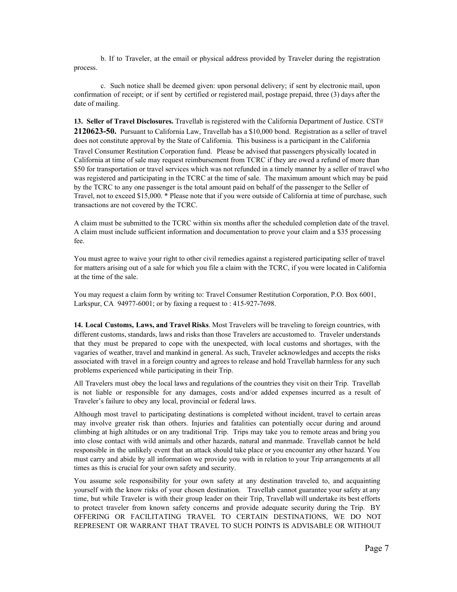b. If to Traveler, at the email or physical address provided by Traveler during the registration process.

c. Such notice shall be deemed given: upon personal delivery; if sent by electronic mail, upon confirmation of receipt; or if sent by certified or registered mail, postage prepaid, three (3) days after the date of mailing.

**13. Seller of Travel Disclosures.**Travellab is registered with the California Department of Justice. CST# **212062350.**Pursuant to California Law, Travellab has a \$10,000 bond. Registration as a seller of travel does not constitute approval by the State of California. This business is a participant in the California Travel Consumer Restitution Corporation fund. Please be advised that passengers physically located in California at time of sale may request reimbursement from TCRC if they are owed a refund of more than \$50 for transportation or travel services which was not refunded in a timely manner by a seller of travel who was registered and participating in the TCRC at the time of sale. The maximum amount which may be paid by the TCRC to any one passenger is the total amount paid on behalf of the passenger to the Seller of Travel, not to exceed \$15,000. \* Please note that if you were outside of California at time of purchase, such transactions are not covered by the TCRC.

A claim must be submitted to the TCRC within six months after the scheduled completion date of the travel. A claim must include sufficient information and documentation to prove your claim and a \$35 processing fee.

You must agree to waive your right to other civil remedies against a registered participating seller of travel for matters arising out of a sale for which you file a claim with the TCRC, if you were located in California at the time of the sale.

You may request a claim form by writing to: Travel Consumer Restitution Corporation, P.O. Box 6001, Larkspur, CA 94977-6001; or by faxing a request to : 415-927-7698.

**14. Local Customs, Laws, and Travel Risks**. Most Travelers will be traveling to foreign countries, with different customs, standards, laws and risks than those Travelers are accustomed to. Traveler understands that they must be prepared to cope with the unexpected, with local customs and shortages, with the vagaries of weather, travel and mankind in general. As such, Traveler acknowledges and accepts the risks associated with travel in a foreign country and agrees to release and hold Travellab harmless for any such problems experienced while participating in their Trip.

All Travelers must obey the local laws and regulations of the countries they visit on their Trip. Travellab is not liable or responsible for any damages, costs and/or added expenses incurred as a result of Traveler's failure to obey any local, provincial or federal laws.

Although most travel to participating destinations is completed without incident, travel to certain areas may involve greater risk than others. Injuries and fatalities can potentially occur during and around climbing at high altitudes or on any traditional Trip. Trips may take you to remote areas and bring you into close contact with wild animals and other hazards, natural and manmade. Travellab cannot be held responsible in the unlikely event that an attack should take place or you encounter any other hazard. You must carry and abide by all information we provide you with in relation to your Trip arrangements at all times as this is crucial for your own safety and security.

You assume sole responsibility for your own safety at any destination traveled to, and acquainting yourself with the know risks of your chosen destination. Travellab cannot guarantee your safety at any time, but while Traveler is with their group leader on their Trip, Travellab will undertake its best efforts to protect traveler from known safety concerns and provide adequate security during the Trip. BY OFFERING OR FACILITATING TRAVEL TO CERTAIN DESTINATIONS, WE DO NOT REPRESENT OR WARRANT THAT TRAVEL TO SUCH POINTS IS ADVISABLE OR WITHOUT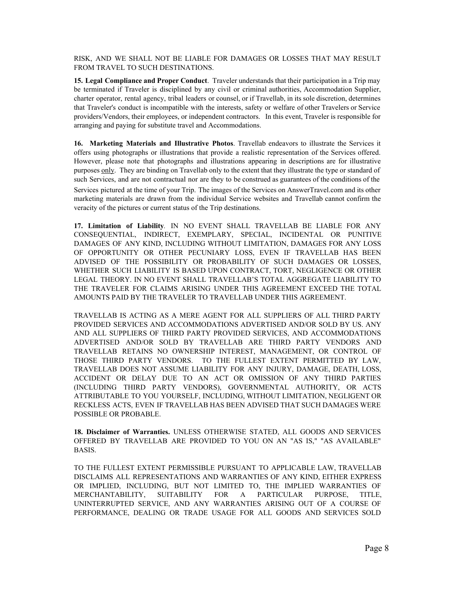RISK, AND WE SHALL NOT BE LIABLE FOR DAMAGES OR LOSSES THAT MAY RESULT FROM TRAVEL TO SUCH DESTINATIONS.

**15. Legal Compliance and Proper Conduct**. Traveler understands that their participation in a Trip may be terminated if Traveler is disciplined by any civil or criminal authorities, Accommodation Supplier, charter operator, rental agency, tribal leaders or counsel, or if Travellab, in its sole discretion, determines that Traveler's conduct is incompatible with the interests, safety or welfare of other Travelers or Service providers/Vendors, their employees, or independent contractors. In this event, Traveler is responsible for arranging and paying for substitute travel and Accommodations.

**16. Marketing Materials and Illustrative Photos**. Travellab endeavors to illustrate the Services it offers using photographs or illustrations that provide a realistic representation of the Services offered. However, please note that photographs and illustrations appearing in descriptions are for illustrative purposes only. They are binding on Travellab only to the extent that they illustrate the type or standard of such Services, and are not contractual nor are they to be construed as guarantees of the conditions of the Services pictured at the time of your Trip. The images of the Services on AnswerTravel.com and its other marketing materials are drawn from the individual Service websites and Travellab cannot confirm the veracity of the pictures or current status of the Trip destinations.

**17. Limitation of Liability***.* IN NO EVENT SHALL TRAVELLAB BE LIABLE FOR ANY CONSEQUENTIAL, INDIRECT, EXEMPLARY, SPECIAL, INCIDENTAL OR PUNITIVE DAMAGES OF ANY KIND, INCLUDING WITHOUT LIMITATION, DAMAGES FOR ANY LOSS OF OPPORTUNITY OR OTHER PECUNIARY LOSS, EVEN IF TRAVELLAB HAS BEEN ADVISED OF THE POSSIBILITY OR PROBABILITY OF SUCH DAMAGES OR LOSSES, WHETHER SUCH LIABILITY IS BASED UPON CONTRACT, TORT, NEGLIGENCE OR OTHER LEGAL THEORY. IN NO EVENT SHALL TRAVELLAB'S TOTAL AGGREGATE LIABILITY TO THE TRAVELER FOR CLAIMS ARISING UNDER THIS AGREEMENT EXCEED THE TOTAL AMOUNTS PAID BY THE TRAVELER TO TRAVELLAB UNDER THIS AGREEMENT.

TRAVELLAB IS ACTING AS A MERE AGENT FOR ALL SUPPLIERS OF ALL THIRD PARTY PROVIDED SERVICES AND ACCOMMODATIONS ADVERTISED AND/OR SOLD BY US. ANY AND ALL SUPPLIERS OF THIRD PARTY PROVIDED SERVICES, AND ACCOMMODATIONS ADVERTISED AND/OR SOLD BY TRAVELLAB ARE THIRD PARTY VENDORS AND TRAVELLAB RETAINS NO OWNERSHIP INTEREST, MANAGEMENT, OR CONTROL OF THOSE THIRD PARTY VENDORS. TO THE FULLEST EXTENT PERMITTED BY LAW, TRAVELLAB DOES NOT ASSUME LIABILITY FOR ANY INJURY, DAMAGE, DEATH, LOSS, ACCIDENT OR DELAY DUE TO AN ACT OR OMISSION OF ANY THIRD PARTIES (INCLUDING THIRD PARTY VENDORS), GOVERNMENTAL AUTHORITY, OR ACTS ATTRIBUTABLE TO YOU YOURSELF, INCLUDING, WITHOUT LIMITATION, NEGLIGENT OR RECKLESS ACTS, EVEN IF TRAVELLAB HAS BEEN ADVISED THAT SUCH DAMAGES WERE POSSIBLE OR PROBABLE.

**18. Disclaimer of Warranties.** UNLESS OTHERWISE STATED, ALL GOODS AND SERVICES OFFERED BY TRAVELLAB ARE PROVIDED TO YOU ON AN "AS IS," "AS AVAILABLE" BASIS.

TO THE FULLEST EXTENT PERMISSIBLE PURSUANT TO APPLICABLE LAW, TRAVELLAB DISCLAIMS ALL REPRESENTATIONS AND WARRANTIES OF ANY KIND, EITHER EXPRESS OR IMPLIED, INCLUDING, BUT NOT LIMITED TO, THE IMPLIED WARRANTIES OF MERCHANTABILITY, SUITABILITY FOR A PARTICULAR PURPOSE, TITLE, UNINTERRUPTED SERVICE, AND ANY WARRANTIES ARISING OUT OF A COURSE OF PERFORMANCE, DEALING OR TRADE USAGE FOR ALL GOODS AND SERVICES SOLD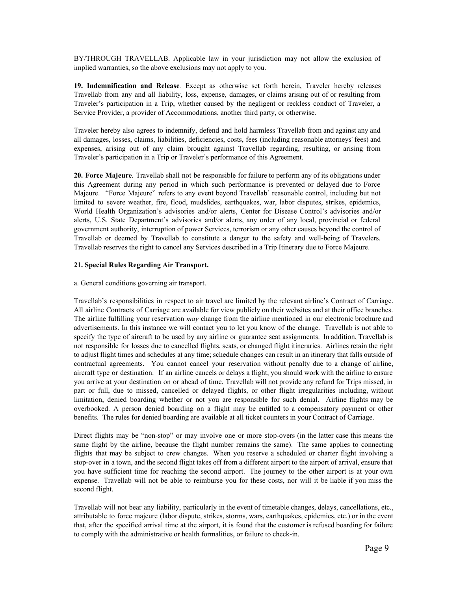BY/THROUGH TRAVELLAB. Applicable law in your jurisdiction may not allow the exclusion of implied warranties, so the above exclusions may not apply to you.

**19. Indemnification and Release***.* Except as otherwise set forth herein, Traveler hereby releases Travellab from any and all liability, loss, expense, damages, or claims arising out of or resulting from Traveler's participation in a Trip, whether caused by the negligent or reckless conduct of Traveler, a Service Provider, a provider of Accommodations, another third party, or otherwise.

Traveler hereby also agrees to indemnify, defend and hold harmless Travellab from and against any and all damages, losses, claims, liabilities, deficiencies, costs, fees (including reasonable attorneys' fees) and expenses, arising out of any claim brought against Travellab regarding, resulting, or arising from Traveler's participation in a Trip or Traveler's performance of this Agreement.

**20. Force Majeure***.* Travellab shall not be responsible for failure to perform any of its obligations under this Agreement during any period in which such performance is prevented or delayed due to Force Majeure. "Force Majeure" refers to any event beyond Travellab' reasonable control, including but not limited to severe weather, fire, flood, mudslides, earthquakes, war, labor disputes, strikes, epidemics, World Health Organization's advisories and/or alerts, Center for Disease Control's advisories and/or alerts, U.S. State Department's advisories and/or alerts, any order of any local, provincial or federal government authority, interruption of power Services, terrorism or any other causes beyond the control of Travellab or deemed by Travellab to constitute a danger to the safety and wellbeing of Travelers. Travellab reserves the right to cancel any Services described in a Trip Itinerary due to Force Majeure.

#### **21.Special Rules Regarding Air Transport.**

#### a. General conditions governing air transport.

Travellab's responsibilities in respect to air travel are limited by the relevant airline's Contract of Carriage. All airline Contracts of Carriage are available for view publicly on their websites and at their office branches. The airline fulfilling your reservation *may* change from the airline mentioned in our electronic brochure and advertisements. In this instance we will contact you to let you know of the change. Travellab is not able to specify the type of aircraft to be used by any airline or guarantee seat assignments. In addition, Travellab is not responsible for losses due to cancelled flights, seats, or changed flight itineraries. Airlines retain the right to adjust flight times and schedules at any time; schedule changes can result in an itinerary that falls outside of contractual agreements. You cannot cancel your reservation without penalty due to a change of airline, aircraft type or destination. If an airline cancels or delays a flight, you should work with the airline to ensure you arrive at your destination on or ahead of time. Travellab will not provide any refund for Trips missed, in part or full, due to missed, cancelled or delayed flights, or other flight irregularities including, without limitation, denied boarding whether or not you are responsible for such denial. Airline flights may be overbooked. A person denied boarding on a flight may be entitled to a compensatory payment or other benefits. The rules for denied boarding are available at all ticket counters in your Contract of Carriage.

Direct flights may be "non-stop" or may involve one or more stop-overs (in the latter case this means the same flight by the airline, because the flight number remains the same). The same applies to connecting flights that may be subject to crew changes. When you reserve a scheduled or charter flight involving a stop-over in a town, and the second flight takes off from a different airport to the airport of arrival, ensure that you have sufficient time for reaching the second airport. The journey to the other airport is at your own expense. Travellab will not be able to reimburse you for these costs, nor will it be liable if you miss the second flight.

Travellab will not bear any liability, particularly in the event of timetable changes, delays, cancellations, etc., attributable to force majeure (labor dispute, strikes, storms, wars, earthquakes, epidemics, etc.) or in the event that, after the specified arrival time at the airport, it is found that the customer is refused boarding for failure to comply with the administrative or health formalities, or failure to check-in.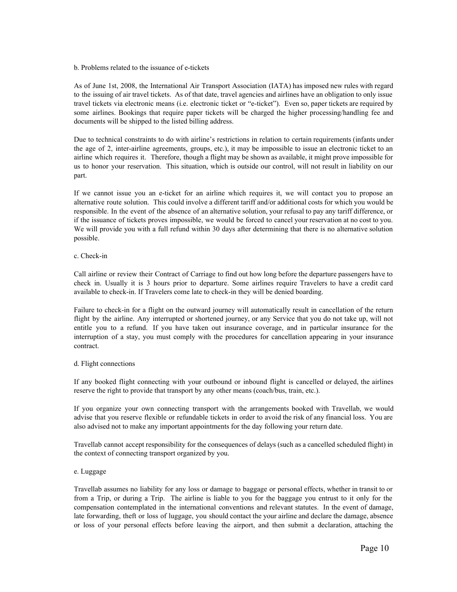#### b. Problems related to the issuance of e-tickets

As of June 1st, 2008, the International Air Transport Association (IATA) has imposed new rules with regard to the issuing of air travel tickets. As of that date, travel agencies and airlines have an obligation to only issue travel tickets via electronic means (i.e. electronic ticket or "eticket"). Even so, paper tickets are required by some airlines. Bookings that require paper tickets will be charged the higher processing/handling fee and documents will be shipped to the listed billing address.

Due to technical constraints to do with airline's restrictions in relation to certain requirements (infants under the age of 2, interairline agreements, groups, etc.), it may be impossible to issue an electronic ticket to an airline which requires it. Therefore, though a flight may be shown as available, it might prove impossible for us to honor your reservation. This situation, which is outside our control, will not result in liability on our part.

If we cannot issue you an e-ticket for an airline which requires it, we will contact you to propose an alternative route solution. This could involve a different tariff and/or additional costs for which you would be responsible. In the event of the absence of an alternative solution, your refusal to pay any tariff difference, or if the issuance of tickets proves impossible, we would be forced to cancel your reservation at no cost to you. We will provide you with a full refund within 30 days after determining that there is no alternative solution possible.

## c. Check-in

Call airline or review their Contract of Carriage to find out how long before the departure passengers have to check in. Usually it is 3 hours prior to departure. Some airlines require Travelers to have a credit card available to check-in. If Travelers come late to check-in they will be denied boarding.

Failure to check-in for a flight on the outward journey will automatically result in cancellation of the return flight by the airline. Any interrupted or shortened journey, or any Service that you do not take up, will not entitle you to a refund. If you have taken out insurance coverage, and in particular insurance for the interruption of a stay, you must comply with the procedures for cancellation appearing in your insurance contract.

# d. Flight connections

If any booked flight connecting with your outbound or inbound flight is cancelled or delayed, the airlines reserve the right to provide that transport by any other means (coach/bus, train, etc.).

If you organize your own connecting transport with the arrangements booked with Travellab, we would advise that you reserve flexible or refundable tickets in order to avoid the risk of any financial loss. You are also advised not to make any important appointments for the day following your return date.

Travellab cannot accept responsibility for the consequences of delays (such as a cancelled scheduled flight) in the context of connecting transport organized by you.

# e. Luggage

Travellab assumes no liability for any loss or damage to baggage or personal effects, whether in transit to or from a Trip, or during a Trip. The airline is liable to you for the baggage you entrust to it only for the compensation contemplated in the international conventions and relevant statutes. In the event of damage, late forwarding, theft or loss of luggage, you should contact the your airline and declare the damage, absence or loss of your personal effects before leaving the airport, and then submit a declaration, attaching the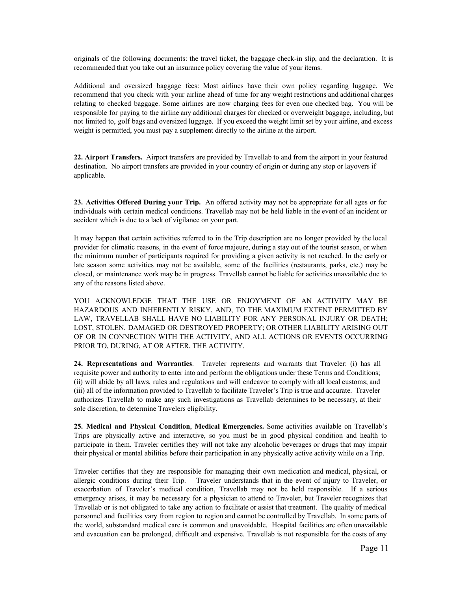originals of the following documents: the travel ticket, the baggage checkin slip, and the declaration. It is recommended that you take out an insurance policy covering the value of your items.

Additional and oversized baggage fees: Most airlines have their own policy regarding luggage. We recommend that you check with your airline ahead of time for any weight restrictions and additional charges relating to checked baggage. Some airlines are now charging fees for even one checked bag. You will be responsible for paying to the airline any additional charges for checked or overweight baggage, including, but not limited to, golf bags and oversized luggage. If you exceed the weight limit set by your airline, and excess weight is permitted, you must pay a supplement directly to the airline at the airport.

**22. Airport Transfers.** Airport transfers are provided by Travellab to and from the airport in your featured destination. No airport transfers are provided in your country of origin or during any stop or layovers if applicable.

**23. Activities Offered During your Trip.** An offered activity may not be appropriate for all ages or for individuals with certain medical conditions. Travellab may not be held liable in the event of an incident or accident which is due to a lack of vigilance on your part.

It may happen that certain activities referred to in the Trip description are no longer provided by the local provider for climatic reasons, in the event of force majeure, during a stay out of the tourist season, or when the minimum number of participants required for providing a given activity is not reached. In the early or late season some activities may not be available, some of the facilities (restaurants, parks, etc.) may be closed, or maintenance work may be in progress. Travellab cannot be liable for activities unavailable due to any of the reasons listed above.

YOU ACKNOWLEDGE THAT THE USE OR ENJOYMENT OF AN ACTIVITY MAY BE HAZARDOUS AND INHERENTLY RISKY, AND, TO THE MAXIMUM EXTENT PERMITTED BY LAW, TRAVELLAB SHALL HAVE NO LIABILITY FOR ANY PERSONAL INJURY OR DEATH; LOST, STOLEN, DAMAGED OR DESTROYED PROPERTY; OR OTHER LIABILITY ARISING OUT OF OR IN CONNECTION WITH THE ACTIVITY, AND ALL ACTIONS OR EVENTS OCCURRING PRIOR TO, DURING, AT OR AFTER, THE ACTIVITY.

**24. Representations and Warranties**. Traveler represents and warrants that Traveler: (i) has all requisite power and authority to enter into and perform the obligations under these Terms and Conditions; (ii) will abide by all laws, rules and regulations and will endeavor to comply with all local customs; and (iii) all of the information provided to Travellab to facilitate Traveler's Trip is true and accurate. Traveler authorizes Travellab to make any such investigations as Travellab determines to be necessary, at their sole discretion, to determine Travelers eligibility.

**25. Medical and Physical Condition**, **Medical Emergencies.** Some activities available on Travellab's Trips are physically active and interactive, so you must be in good physical condition and health to participate in them. Traveler certifies they will not take any alcoholic beverages or drugs that may impair their physical or mental abilities before their participation in any physically active activity while on a Trip.

Traveler certifies that they are responsible for managing their own medication and medical, physical, or allergic conditions during their Trip. Traveler understands that in the event of injury to Traveler, or exacerbation of Traveler's medical condition, Travellab may not be held responsible. If a serious emergency arises, it may be necessary for a physician to attend to Traveler, but Traveler recognizes that Travellab or is not obligated to take any action to facilitate or assist that treatment. The quality of medical personnel and facilities vary from region to region and cannot be controlled by Travellab. In some parts of the world, substandard medical care is common and unavoidable. Hospital facilities are often unavailable and evacuation can be prolonged, difficult and expensive. Travellab is not responsible for the costs of any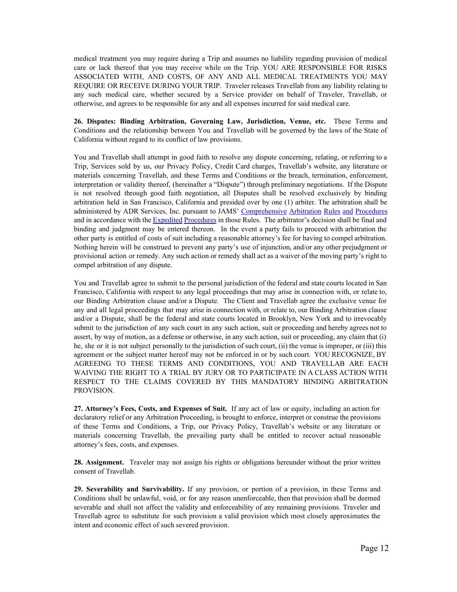medical treatment you may require during a Trip and assumes no liability regarding provision of medical care or lack thereof that you may receive while on the Trip. YOU ARE RESPONSIBLE FOR RISKS ASSOCIATED WITH, AND COSTS, OF ANY AND ALL MEDICAL TREATMENTS YOU MAY REQUIRE OR RECEIVE DURING YOUR TRIP. Traveler releases Travellab from any liability relating to any such medical care, whether secured by a Service provider on behalf of Traveler, Travellab, or otherwise, and agrees to be responsible for any and all expenses incurred for said medical care.

**26. Disputes: Binding Arbitration, Governing Law, Jurisdiction, Venue, etc.** These Terms and Conditions and the relationship between You and Travellab will be governed by the laws of the State of California without regard to its conflict of law provisions.

You and Travellab shall attempt in good faith to resolve any dispute concerning, relating, or referring to a Trip, Services sold by us, our Privacy Policy, Credit Card charges, Travellab's website, any literature or materials concerning Travellab, and these Terms and Conditions or the breach, termination, enforcement, interpretation or validity thereof, (hereinafter a "Dispute") through preliminary negotiations. If the Dispute is not resolved through good faith negotiation, all Disputes shall be resolved exclusively by binding arbitration held in San Francisco, California and presided over by one (1) arbiter. The arbitration shall be administered by ADR Services, Inc. pursuant to JAMS' [Comprehensive](http://www.jamsadr.com/rules-comprehensive-arbitration/) Arbitration Rules and Procedures and in accordance with the **Expedited [Procedures](http://www.jamsadr.com/rules-comprehensive-arbitration/#Rule%2016.1)** in those Rules. The arbitrator's decision shall be final and binding and judgment may be entered thereon. In the event a party fails to proceed with arbitration the other party is entitled of costs of suit including a reasonable attorney's fee for having to compel arbitration. Nothing herein will be construed to prevent any party's use of injunction, and/or any other prejudgment or provisional action or remedy. Any such action or remedy shall act as a waiver of the moving party's right to compel arbitration of any dispute.

You and Travellab agree to submit to the personal jurisdiction of the federal and state courts located in San Francisco, California with respect to any legal proceedings that may arise in connection with, or relate to, our Binding Arbitration clause and/or a Dispute. The Client and Travellab agree the exclusive venue for any and all legal proceedings that may arise in connection with, or relate to, our Binding Arbitration clause and/or a Dispute, shall be the federal and state courts located in Brooklyn, New York and to irrevocably submit to the jurisdiction of any such court in any such action, suit or proceeding and hereby agrees not to assert, by way of motion, as a defense or otherwise, in any such action, suit or proceeding, any claim that (i) he, she or it is not subject personally to the jurisdiction of such court, (ii) the venue is improper, or (iii) this agreement or the subject matter hereof may not be enforced in or by such court. YOU RECOGNIZE, BY AGREEING TO THESE TERMS AND CONDITIONS, YOU AND TRAVELLAB ARE EACH WAIVING THE RIGHT TO A TRIAL BY JURY OR TO PARTICIPATE IN A CLASS ACTION WITH RESPECT TO THE CLAIMS COVERED BY THIS MANDATORY BINDING ARBITRATION PROVISION.

**27. Attorney's Fees, Costs, and Expenses of Suit.** If any act of law or equity, including an action for declaratory relief or any Arbitration Proceeding, is brought to enforce, interpret or construe the provisions of these Terms and Conditions, a Trip, our Privacy Policy, Travellab's website or any literature or materials concerning Travellab, the prevailing party shall be entitled to recover actual reasonable attorney's fees, costs, and expenses.

**28. Assignment.** Traveler may not assign his rights or obligations hereunder without the prior written consent of Travellab.

**29. Severability and Survivability.** If any provision, or portion of a provision, in these Terms and Conditions shall be unlawful, void, or for any reason unenforceable, then that provision shall be deemed severable and shall not affect the validity and enforceability of any remaining provisions. Traveler and Travellab agree to substitute for such provision a valid provision which most closely approximates the intent and economic effect of such severed provision.